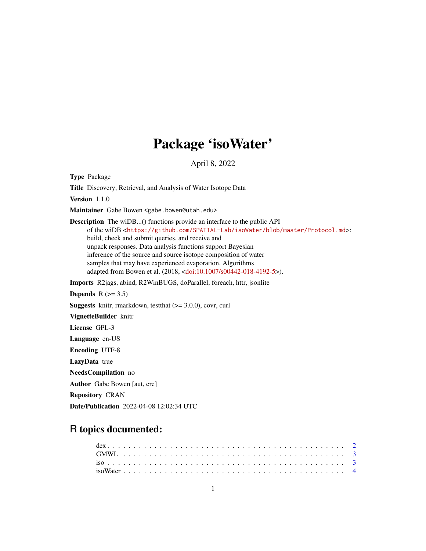## Package 'isoWater'

April 8, 2022

Type Package Title Discovery, Retrieval, and Analysis of Water Isotope Data Version 1.1.0 Maintainer Gabe Bowen <gabe.bowen@utah.edu> Description The wiDB...() functions provide an interface to the public API of the wiDB <<https://github.com/SPATIAL-Lab/isoWater/blob/master/Protocol.md>>: build, check and submit queries, and receive and unpack responses. Data analysis functions support Bayesian inference of the source and source isotope composition of water samples that may have experienced evaporation. Algorithms adapted from Bowen et al. (2018, [<doi:10.1007/s00442-018-4192-5>](https://doi.org/10.1007/s00442-018-4192-5)). Imports R2jags, abind, R2WinBUGS, doParallel, foreach, httr, jsonlite Depends  $R$  ( $>= 3.5$ ) **Suggests** knitr, rmarkdown, test that  $(>= 3.0.0)$ , covr, curl VignetteBuilder knitr License GPL-3 Language en-US Encoding UTF-8 LazyData true NeedsCompilation no Author Gabe Bowen [aut, cre] Repository CRAN

### R topics documented:

Date/Publication 2022-04-08 12:02:34 UTC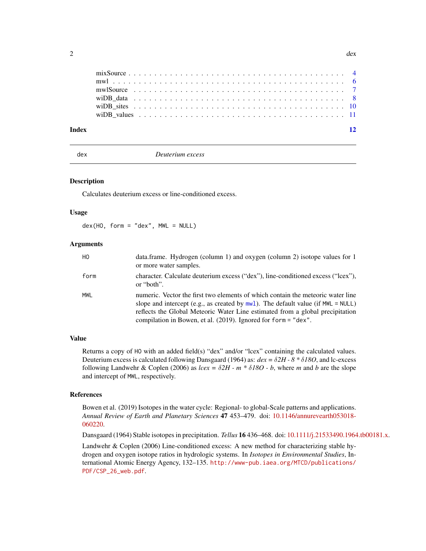<span id="page-1-0"></span>

| Index |  |  |  |  |  |  |  |  |  |  |  |  |  |  |  |  |  |  |  | 12 |
|-------|--|--|--|--|--|--|--|--|--|--|--|--|--|--|--|--|--|--|--|----|
|       |  |  |  |  |  |  |  |  |  |  |  |  |  |  |  |  |  |  |  |    |
|       |  |  |  |  |  |  |  |  |  |  |  |  |  |  |  |  |  |  |  |    |
|       |  |  |  |  |  |  |  |  |  |  |  |  |  |  |  |  |  |  |  |    |
|       |  |  |  |  |  |  |  |  |  |  |  |  |  |  |  |  |  |  |  |    |
|       |  |  |  |  |  |  |  |  |  |  |  |  |  |  |  |  |  |  |  |    |
|       |  |  |  |  |  |  |  |  |  |  |  |  |  |  |  |  |  |  |  |    |

dex *Deuterium excess*

#### Description

Calculates deuterium excess or line-conditioned excess.

#### Usage

 $dex(HO, form = "dex", MWL = NULL)$ 

#### Arguments

| HO.        | data.frame. Hydrogen (column 1) and oxygen (column 2) isotope values for 1<br>or more water samples.                                                                                                                                                                                                                         |
|------------|------------------------------------------------------------------------------------------------------------------------------------------------------------------------------------------------------------------------------------------------------------------------------------------------------------------------------|
| form       | character. Calculate deuterium excess ("dex"), line-conditioned excess ("lcex"),<br>or "both".                                                                                                                                                                                                                               |
| <b>MWL</b> | numeric. Vector the first two elements of which contain the meteoric water line<br>slope and intercept (e.g., as created by $mwl$ ). The default value (if $MWL = NULL$ )<br>reflects the Global Meteoric Water Line estimated from a global precipitation<br>compilation in Bowen, et al. (2019). Ignored for form = "dex". |

#### Value

Returns a copy of HO with an added field(s) "dex" and/or "lcex" containing the calculated values. Deuterium excess is calculated following Dansgaard (1964) as: *dex =* δ*2H - 8 \** δ*18O*, and lc-excess following Landwehr & Coplen (2006) as *lcex =* δ*2H - m \** δ*18O - b*, where *m* and *b* are the slope and intercept of MWL, respectively.

#### References

Bowen et al. (2019) Isotopes in the water cycle: Regional- to global-Scale patterns and applications. *Annual Review of Earth and Planetary Sciences* 47 453–479. doi: [10.1146/annurevearth053018-](https://doi.org/10.1146/annurev-earth-053018-060220) [060220.](https://doi.org/10.1146/annurev-earth-053018-060220)

Dansgaard (1964) Stable isotopes in precipitation. *Tellus* 16 436–468. doi: [10.1111/j.21533490.1964.tb00181.x.](https://doi.org/10.1111/j.2153-3490.1964.tb00181.x)

Landwehr & Coplen (2006) Line-conditioned excess: A new method for characterizing stable hydrogen and oxygen isotope ratios in hydrologic systems. In *Isotopes in Environmental Studies*, International Atomic Energy Agency, 132–135. [http://www-pub.iaea.org/MTCD/publications/](http://www-pub.iaea.org/MTCD/publications/PDF/CSP_26_web.pdf) [PDF/CSP\\_26\\_web.pdf](http://www-pub.iaea.org/MTCD/publications/PDF/CSP_26_web.pdf).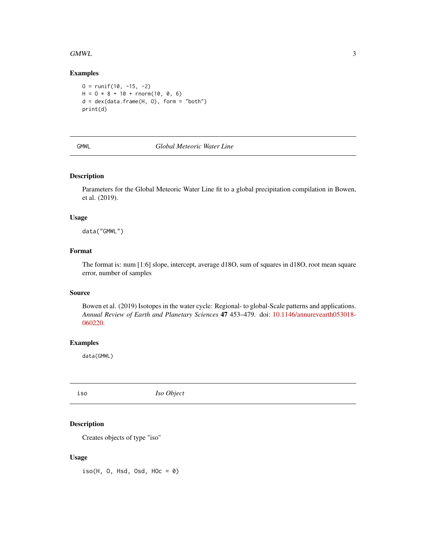#### <span id="page-2-0"></span> $G_MWL$  3

#### Examples

```
0 = runif(10, -15, -2)H = 0 * 8 + 10 + \text{rnorm}(10, 0, 6)d = dex(data.fname(H, 0), form = "both")print(d)
```
#### GMWL *Global Meteoric Water Line*

#### Description

Parameters for the Global Meteoric Water Line fit to a global precipitation compilation in Bowen, et al. (2019).

#### Usage

data("GMWL")

#### Format

The format is: num [1:6] slope, intercept, average d18O, sum of squares in d18O, root mean square error, number of samples

#### Source

Bowen et al. (2019) Isotopes in the water cycle: Regional- to global-Scale patterns and applications. *Annual Review of Earth and Planetary Sciences* 47 453–479. doi: [10.1146/annurevearth053018-](https://doi.org/10.1146/annurev-earth-053018-060220) [060220.](https://doi.org/10.1146/annurev-earth-053018-060220)

#### Examples

data(GMWL)

<span id="page-2-1"></span>iso *Iso Object*

#### Description

Creates objects of type "iso"

#### Usage

 $iso(H, 0, Hsd, 0sd, H0c = 0)$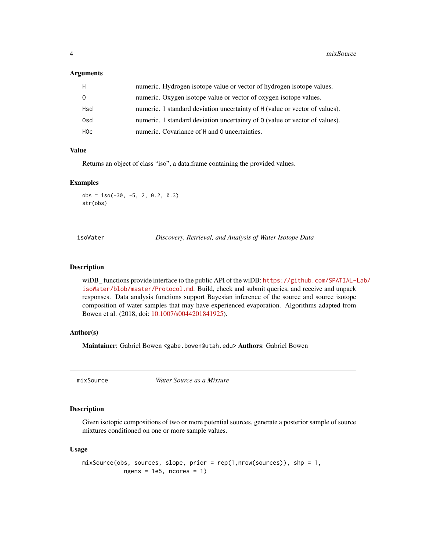#### <span id="page-3-0"></span>Arguments

| H        | numeric. Hydrogen isotope value or vector of hydrogen isotope values.       |
|----------|-----------------------------------------------------------------------------|
| $\Omega$ | numeric. Oxygen isotope value or vector of oxygen isotope values.           |
| Hsd      | numeric. 1 standard deviation uncertainty of H (value or vector of values). |
| 0sd      | numeric. 1 standard deviation uncertainty of 0 (value or vector of values). |
| HOc      | numeric. Covariance of H and 0 uncertainties.                               |

#### Value

Returns an object of class "iso", a data.frame containing the provided values.

#### Examples

 $obs = iso(-30, -5, 2, 0.2, 0.3)$ str(obs)

isoWater *Discovery, Retrieval, and Analysis of Water Isotope Data*

#### Description

wiDB functions provide interface to the public API of the wiDB: [https://github.com/SPATIAL-L](https://github.com/SPATIAL-Lab/isoWater/blob/master/Protocol.md)ab/ [isoWater/blob/master/Protocol.md](https://github.com/SPATIAL-Lab/isoWater/blob/master/Protocol.md). Build, check and submit queries, and receive and unpack responses. Data analysis functions support Bayesian inference of the source and source isotope composition of water samples that may have experienced evaporation. Algorithms adapted from Bowen et al. (2018, doi: [10.1007/s0044201841925\)](https://doi.org/10.1007/s00442-018-4192-5).

#### Author(s)

Maintainer: Gabriel Bowen <gabe.bowen@utah.edu> Authors: Gabriel Bowen

mixSource *Water Source as a Mixture*

#### Description

Given isotopic compositions of two or more potential sources, generate a posterior sample of source mixtures conditioned on one or more sample values.

#### Usage

```
mixSource(obs, sources, slope, prior = rep(1,nrow(sources)), shp = 1,
            ngens = 1e5, ncores = 1)
```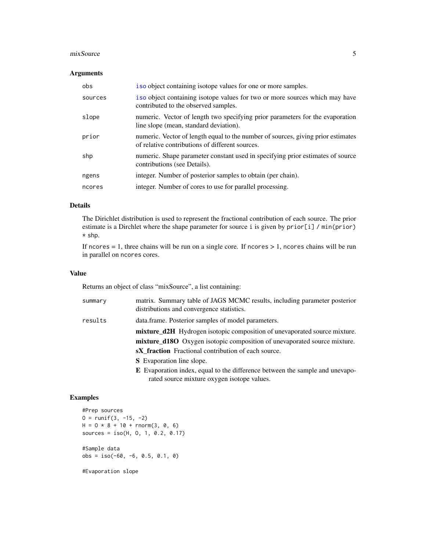#### <span id="page-4-0"></span>mixSource 5

#### Arguments

| obs     | iso object containing isotope values for one or more samples.                                                                       |
|---------|-------------------------------------------------------------------------------------------------------------------------------------|
| sources | iso object containing isotope values for two or more sources which may have<br>contributed to the observed samples.                 |
| slope   | numeric. Vector of length two specifying prior parameters for the evaporation<br>line slope (mean, standard deviation).             |
| prior   | numeric. Vector of length equal to the number of sources, giving prior estimates<br>of relative contributions of different sources. |
| shp     | numeric. Shape parameter constant used in specifying prior estimates of source<br>contributions (see Details).                      |
| ngens   | integer. Number of posterior samples to obtain (per chain).                                                                         |
| ncores  | integer. Number of cores to use for parallel processing.                                                                            |

#### Details

The Dirichlet distribution is used to represent the fractional contribution of each source. The prior estimate is a Dirchlet where the shape parameter for source i is given by prior[i] / min(prior) \* shp.

If ncores  $= 1$ , three chains will be run on a single core. If ncores  $> 1$ , ncores chains will be run in parallel on ncores cores.

#### Value

Returns an object of class "mixSource", a list containing:

| summary | matrix. Summary table of JAGS MCMC results, including parameter posterior<br>distributions and convergence statistics.             |
|---------|------------------------------------------------------------------------------------------------------------------------------------|
| results | data.frame. Posterior samples of model parameters.                                                                                 |
|         | <b>mixture d2H</b> Hydrogen isotopic composition of unevaporated source mixture.                                                   |
|         | <b>mixture d180</b> Oxygen isotopic composition of unevaporated source mixture.                                                    |
|         | <b>sX</b> fraction Fractional contribution of each source.                                                                         |
|         | <b>S</b> Evaporation line slope.                                                                                                   |
|         | <b>E</b> Evaporation index, equal to the difference between the sample and unevapo-<br>rated source mixture oxygen isotope values. |

#### Examples

```
#Prep sources
0 = runif(3, -15, -2)H = 0 * 8 + 10 + \text{rnorm}(3, 0, 6)sources = iso(H, 0, 1, 0.2, 0.17)#Sample data
obs = iso(-60, -6, 0.5, 0.1, 0)
```
#Evaporation slope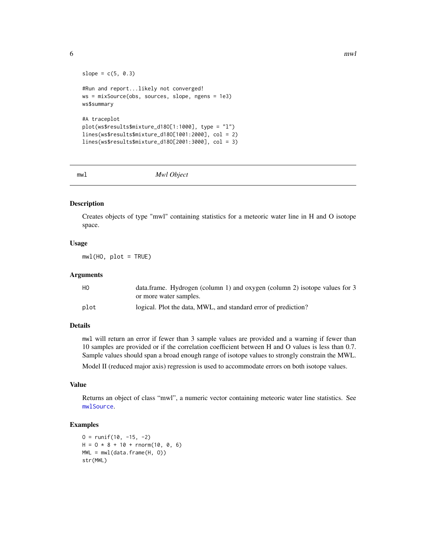```
slope = c(5, 0.3)#Run and report...likely not converged!
ws = mixSource(obs, sources, slope, ngens = 1e3)
ws$summary
#A traceplot
plot(ws$results$mixture_d18O[1:1000], type = "l")
lines(ws$results$mixture_d18O[1001:2000], col = 2)
lines(ws$results$mixture_d18O[2001:3000], col = 3)
```
<span id="page-5-1"></span>

```
mwl Mwl Object
```
#### Description

Creates objects of type "mwl" containing statistics for a meteoric water line in H and O isotope space.

#### Usage

 $mwl(HO, plot = TRUE)$ 

#### Arguments

| НO   | data.frame. Hydrogen (column 1) and oxygen (column 2) isotope values for 3 |
|------|----------------------------------------------------------------------------|
|      | or more water samples.                                                     |
| plot | logical. Plot the data, MWL, and standard error of prediction?             |

#### Details

mwl will return an error if fewer than 3 sample values are provided and a warning if fewer than 10 samples are provided or if the correlation coefficient between H and O values is less than 0.7. Sample values should span a broad enough range of isotope values to strongly constrain the MWL.

Model II (reduced major axis) regression is used to accommodate errors on both isotope values.

#### Value

Returns an object of class "mwl", a numeric vector containing meteoric water line statistics. See [mwlSource](#page-6-1).

#### Examples

```
0 = runif(10, -15, -2)H = 0 * 8 + 10 + \text{rnorm}(10, 0, 6)MWL = mwl(data.frame(H, O))
str(MWL)
```
<span id="page-5-0"></span>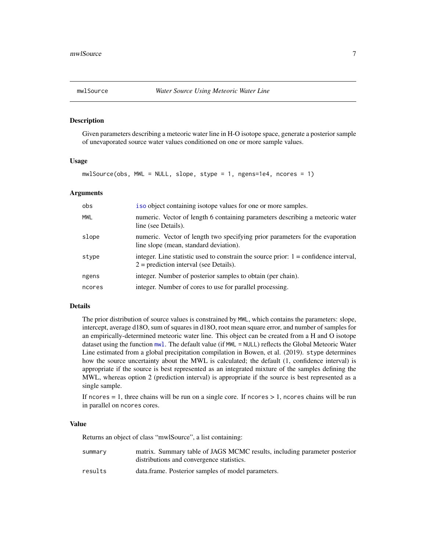<span id="page-6-1"></span><span id="page-6-0"></span>

#### Description

Given parameters describing a meteoric water line in H-O isotope space, generate a posterior sample of unevaporated source water values conditioned on one or more sample values.

#### Usage

mwlSource(obs, MWL = NULL, slope, stype = 1, ngens=1e4, ncores = 1)

#### Arguments

| obs        | iso object containing isotope values for one or more samples.                                                                      |
|------------|------------------------------------------------------------------------------------------------------------------------------------|
| <b>MWL</b> | numeric. Vector of length 6 containing parameters describing a meteoric water<br>line (see Details).                               |
| slope      | numeric. Vector of length two specifying prior parameters for the evaporation<br>line slope (mean, standard deviation).            |
| stype      | integer. Line statistic used to constrain the source prior: $1 =$ confidence interval,<br>$2$ = prediction interval (see Details). |
| ngens      | integer. Number of posterior samples to obtain (per chain).                                                                        |
| ncores     | integer. Number of cores to use for parallel processing.                                                                           |

#### Details

The prior distribution of source values is constrained by MWL, which contains the parameters: slope, intercept, average d18O, sum of squares in d18O, root mean square error, and number of samples for an empirically-determined meteoric water line. This object can be created from a H and O isotope dataset using the function [mwl](#page-5-1). The default value (if MWL = NULL) reflects the Global Meteoric Water Line estimated from a global precipitation compilation in Bowen, et al. (2019). stype determines how the source uncertainty about the MWL is calculated; the default (1, confidence interval) is appropriate if the source is best represented as an integrated mixture of the samples defining the MWL, whereas option 2 (prediction interval) is appropriate if the source is best represented as a single sample.

If ncores  $= 1$ , three chains will be run on a single core. If ncores  $> 1$ , ncores chains will be run in parallel on ncores cores.

#### Value

Returns an object of class "mwlSource", a list containing:

| summary | matrix. Summary table of JAGS MCMC results, including parameter posterior |
|---------|---------------------------------------------------------------------------|
|         | distributions and convergence statistics.                                 |
| results | data.frame. Posterior samples of model parameters.                        |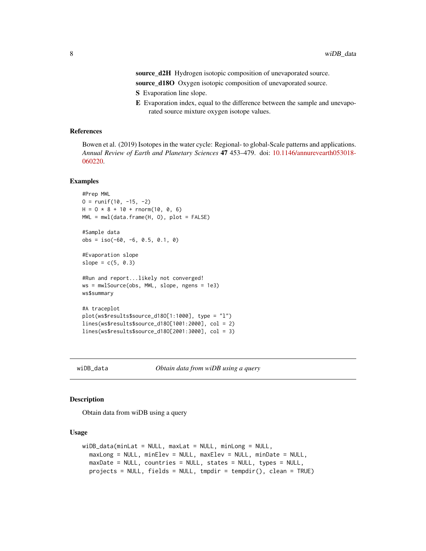<span id="page-7-0"></span>source\_d2H Hydrogen isotopic composition of unevaporated source.

source\_d18O Oxygen isotopic composition of unevaporated source.

- S Evaporation line slope.
- E Evaporation index, equal to the difference between the sample and unevaporated source mixture oxygen isotope values.

#### References

Bowen et al. (2019) Isotopes in the water cycle: Regional- to global-Scale patterns and applications. *Annual Review of Earth and Planetary Sciences* 47 453–479. doi: [10.1146/annurevearth053018-](https://doi.org/10.1146/annurev-earth-053018-060220) [060220.](https://doi.org/10.1146/annurev-earth-053018-060220)

#### Examples

```
#Prep MWL
0 = runif(10, -15, -2)H = 0 * 8 + 10 + \text{rnorm}(10, 0, 6)MWL = mwl(data.frame(H, O), plot = FALSE)
#Sample data
obs = iso(-60, -6, 0.5, 0.1, 0)
#Evaporation slope
slope = c(5, 0.3)#Run and report...likely not converged!
ws = mwlSource(obs, MWL, slope, ngens = 1e3)
ws$summary
#A traceplot
plot(ws$results$source_d18O[1:1000], type = "l")
lines(ws$results$source_d18O[1001:2000], col = 2)
lines(ws$results$source_d18O[2001:3000], col = 3)
```
wiDB\_data *Obtain data from wiDB using a query*

#### Description

Obtain data from wiDB using a query

#### Usage

```
wiDB_data(minLat = NULL, maxLat = NULL, minLong = NULL,maxLong = NULL, minElev = NULL, maxElev = NULL, minDate = NULL,
 maxDate = NULL, countries = NULL, states = NULL, types = NULL,
 projects = NULL, fields = NULL, tmpdir = tempdir(), clean = TRUE)
```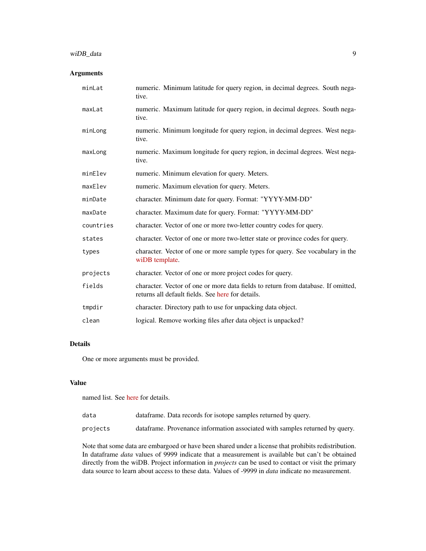#### wiDB\_data 9

#### Arguments

| minLat    | numeric. Minimum latitude for query region, in decimal degrees. South nega-<br>tive.                                                   |
|-----------|----------------------------------------------------------------------------------------------------------------------------------------|
| maxLat    | numeric. Maximum latitude for query region, in decimal degrees. South nega-<br>tive.                                                   |
| minLong   | numeric. Minimum longitude for query region, in decimal degrees. West nega-<br>tive.                                                   |
| maxLong   | numeric. Maximum longitude for query region, in decimal degrees. West nega-<br>tive.                                                   |
| minElev   | numeric. Minimum elevation for query. Meters.                                                                                          |
| maxElev   | numeric. Maximum elevation for query. Meters.                                                                                          |
| minDate   | character. Minimum date for query. Format: "YYYY-MM-DD"                                                                                |
| maxDate   | character. Maximum date for query. Format: "YYYY-MM-DD"                                                                                |
| countries | character. Vector of one or more two-letter country codes for query.                                                                   |
| states    | character. Vector of one or more two-letter state or province codes for query.                                                         |
| types     | character. Vector of one or more sample types for query. See vocabulary in the<br>wiDB template.                                       |
| projects  | character. Vector of one or more project codes for query.                                                                              |
| fields    | character. Vector of one or more data fields to return from database. If omitted,<br>returns all default fields. See here for details. |
| tmpdir    | character. Directory path to use for unpacking data object.                                                                            |
| clean     | logical. Remove working files after data object is unpacked?                                                                           |

#### Details

One or more arguments must be provided.

#### Value

named list. See [here](https://github.com/SPATIAL-Lab/isoWater/blob/master/Protocol.md) for details.

| data | dataframe. Data records for isotope samples returned by query. |
|------|----------------------------------------------------------------|
|      |                                                                |

projects dataframe. Provenance information associated with samples returned by query.

Note that some data are embargoed or have been shared under a license that prohibits redistribution. In dataframe *data* values of 9999 indicate that a measurement is available but can't be obtained directly from the wiDB. Project information in *projects* can be used to contact or visit the primary data source to learn about access to these data. Values of -9999 in *data* indicate no measurement.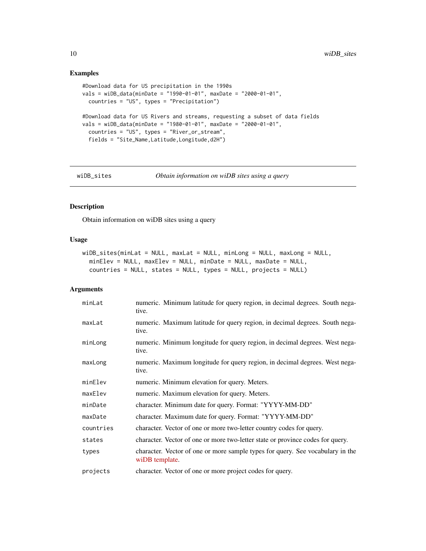#### Examples

```
#Download data for US precipitation in the 1990s
vals = wiDB_data(minDate = "1990-01-01", maxDate = "2000-01-01",
  countries = "US", types = "Precipitation")
#Download data for US Rivers and streams, requesting a subset of data fields
vals = wiDB_data(minDate = "1980-01-01", maxDate = "2000-01-01",
  countries = "US", types = "River_or_stream",
  fields = "Site_Name,Latitude,Longitude,d2H")
```

```
wiDB_sites Obtain information on wiDB sites using a query
```
#### Description

Obtain information on wiDB sites using a query

#### Usage

```
wiDB_sites(minLat = NULL, maxLat = NULL, minLong = NULL, maxLong = NULL,
 minElev = NULL, maxElev = NULL, minDate = NULL, maxDate = NULL,
 countries = NULL, states = NULL, types = NULL, projects = NULL)
```
#### Arguments

| minLat    | numeric. Minimum latitude for query region, in decimal degrees. South nega-<br>tive.             |
|-----------|--------------------------------------------------------------------------------------------------|
| maxLat    | numeric. Maximum latitude for query region, in decimal degrees. South nega-<br>tive.             |
| minLong   | numeric. Minimum longitude for query region, in decimal degrees. West nega-<br>tive.             |
| maxLong   | numeric. Maximum longitude for query region, in decimal degrees. West nega-<br>tive.             |
| minElev   | numeric. Minimum elevation for query. Meters.                                                    |
| maxElev   | numeric. Maximum elevation for query. Meters.                                                    |
| minDate   | character. Minimum date for query. Format: "YYYY-MM-DD"                                          |
| maxDate   | character. Maximum date for query. Format: "YYYY-MM-DD"                                          |
| countries | character. Vector of one or more two-letter country codes for query.                             |
| states    | character. Vector of one or more two-letter state or province codes for query.                   |
| types     | character. Vector of one or more sample types for query. See vocabulary in the<br>wiDB template. |
| projects  | character. Vector of one or more project codes for query.                                        |

<span id="page-9-0"></span>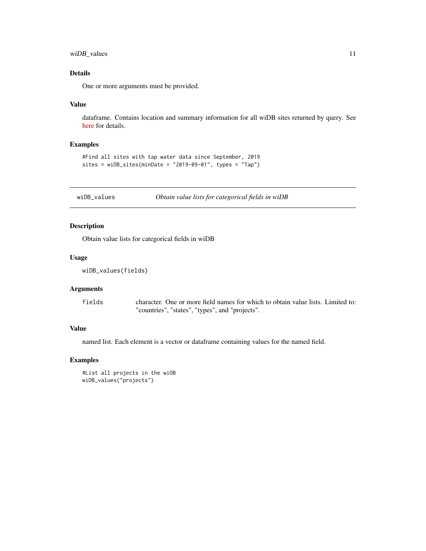<span id="page-10-0"></span>wiDB\_values 11

#### Details

One or more arguments must be provided.

#### Value

dataframe. Contains location and summary information for all wiDB sites returned by query. See [here](https://github.com/SPATIAL-Lab/isoWater/blob/master/Protocol.md) for details.

#### Examples

```
#Find all sites with tap water data since September, 2019
sites = wiDB_sites(minDate = "2019-09-01", types = "Tap")
```
wiDB\_values *Obtain value lists for categorical fields in wiDB*

#### Description

Obtain value lists for categorical fields in wiDB

#### Usage

```
wiDB_values(fields)
```
#### Arguments

fields character. One or more field names for which to obtain value lists. Limited to: "countries", "states", "types", and "projects".

#### Value

named list. Each element is a vector or dataframe containing values for the named field.

#### Examples

```
#List all projects in the wiDB
wiDB_values("projects")
```